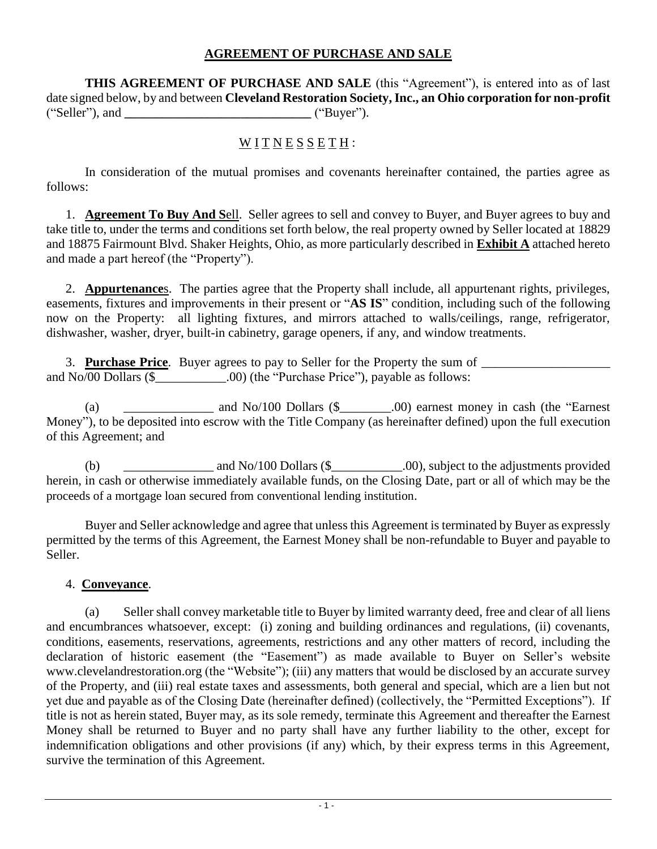## **AGREEMENT OF PURCHASE AND SALE**

**THIS AGREEMENT OF PURCHASE AND SALE** (this "Agreement"), is entered into as of last date signed below, by and between **Cleveland Restoration Society, Inc., an Ohio corporation for non-profit** ("Seller"), and **\_\_\_\_\_\_\_\_\_\_\_\_\_\_\_\_\_\_\_\_\_\_\_\_\_\_\_\_\_** ("Buyer").

# WITNESSETH:

In consideration of the mutual promises and covenants hereinafter contained, the parties agree as follows:

1. **Agreement To Buy And S**ell. Seller agrees to sell and convey to Buyer, and Buyer agrees to buy and take title to, under the terms and conditions set forth below, the real property owned by Seller located at 18829 and 18875 Fairmount Blvd. Shaker Heights, Ohio, as more particularly described in **Exhibit A** attached hereto and made a part hereof (the "Property").

2. **Appurtenance**s. The parties agree that the Property shall include, all appurtenant rights, privileges, easements, fixtures and improvements in their present or "**AS IS**" condition, including such of the following now on the Property: all lighting fixtures, and mirrors attached to walls/ceilings, range, refrigerator, dishwasher, washer, dryer, built-in cabinetry, garage openers, if any, and window treatments.

3. **Purchase Price**. Buyer agrees to pay to Seller for the Property the sum of \_\_\_\_\_\_\_\_\_\_\_\_\_\_\_\_\_\_\_\_ and No/00 Dollars  $(\frac{1}{2})$  .00) (the "Purchase Price"), payable as follows:

(a) \_\_\_\_\_\_\_\_\_\_\_\_\_\_ and No/100 Dollars (\$\_\_\_\_\_\_\_\_.00) earnest money in cash (the "Earnest Money"), to be deposited into escrow with the Title Company (as hereinafter defined) upon the full execution of this Agreement; and

(b)  $\qquad \qquad \text{and No/100 Dollars (§} \qquad \qquad .00), \text{ subject to the adjustments provided}$ herein, in cash or otherwise immediately available funds, on the Closing Date, part or all of which may be the proceeds of a mortgage loan secured from conventional lending institution.

Buyer and Seller acknowledge and agree that unless this Agreement is terminated by Buyer as expressly permitted by the terms of this Agreement, the Earnest Money shall be non-refundable to Buyer and payable to Seller.

### 4. **Conveyance**.

(a) Seller shall convey marketable title to Buyer by limited warranty deed, free and clear of all liens and encumbrances whatsoever, except: (i) zoning and building ordinances and regulations, (ii) covenants, conditions, easements, reservations, agreements, restrictions and any other matters of record, including the declaration of historic easement (the "Easement") as made available to Buyer on Seller's website www.clevelandrestoration.org (the "Website"); (iii) any matters that would be disclosed by an accurate survey of the Property, and (iii) real estate taxes and assessments, both general and special, which are a lien but not yet due and payable as of the Closing Date (hereinafter defined) (collectively, the "Permitted Exceptions"). If title is not as herein stated, Buyer may, as its sole remedy, terminate this Agreement and thereafter the Earnest Money shall be returned to Buyer and no party shall have any further liability to the other, except for indemnification obligations and other provisions (if any) which, by their express terms in this Agreement, survive the termination of this Agreement.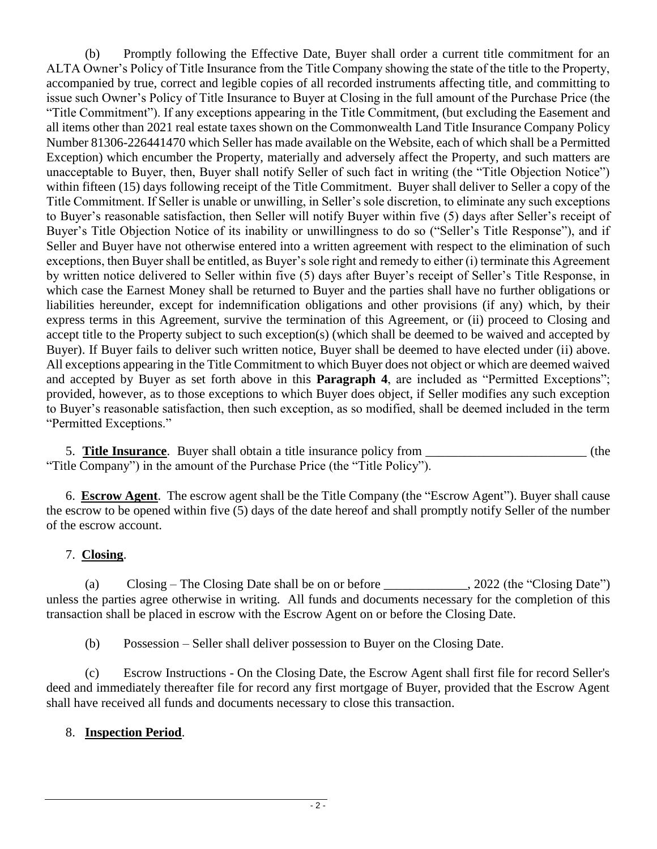(b) Promptly following the Effective Date, Buyer shall order a current title commitment for an ALTA Owner's Policy of Title Insurance from the Title Company showing the state of the title to the Property, accompanied by true, correct and legible copies of all recorded instruments affecting title, and committing to issue such Owner's Policy of Title Insurance to Buyer at Closing in the full amount of the Purchase Price (the "Title Commitment"). If any exceptions appearing in the Title Commitment, (but excluding the Easement and all items other than 2021 real estate taxes shown on the Commonwealth Land Title Insurance Company Policy Number 81306-226441470 which Seller has made available on the Website, each of which shall be a Permitted Exception) which encumber the Property, materially and adversely affect the Property, and such matters are unacceptable to Buyer, then, Buyer shall notify Seller of such fact in writing (the "Title Objection Notice") within fifteen (15) days following receipt of the Title Commitment. Buyer shall deliver to Seller a copy of the Title Commitment. If Seller is unable or unwilling, in Seller's sole discretion, to eliminate any such exceptions to Buyer's reasonable satisfaction, then Seller will notify Buyer within five (5) days after Seller's receipt of Buyer's Title Objection Notice of its inability or unwillingness to do so ("Seller's Title Response"), and if Seller and Buyer have not otherwise entered into a written agreement with respect to the elimination of such exceptions, then Buyer shall be entitled, as Buyer's sole right and remedy to either (i) terminate this Agreement by written notice delivered to Seller within five (5) days after Buyer's receipt of Seller's Title Response, in which case the Earnest Money shall be returned to Buyer and the parties shall have no further obligations or liabilities hereunder, except for indemnification obligations and other provisions (if any) which, by their express terms in this Agreement, survive the termination of this Agreement, or (ii) proceed to Closing and accept title to the Property subject to such exception(s) (which shall be deemed to be waived and accepted by Buyer). If Buyer fails to deliver such written notice, Buyer shall be deemed to have elected under (ii) above. All exceptions appearing in the Title Commitment to which Buyer does not object or which are deemed waived and accepted by Buyer as set forth above in this **Paragraph 4**, are included as "Permitted Exceptions"; provided, however, as to those exceptions to which Buyer does object, if Seller modifies any such exception to Buyer's reasonable satisfaction, then such exception, as so modified, shall be deemed included in the term "Permitted Exceptions."

5. **Title Insurance**. Buyer shall obtain a title insurance policy from \_\_\_\_\_\_\_\_\_\_\_\_\_\_\_\_\_\_\_\_\_\_\_\_\_ (the "Title Company") in the amount of the Purchase Price (the "Title Policy").

6. **Escrow Agent**. The escrow agent shall be the Title Company (the "Escrow Agent"). Buyer shall cause the escrow to be opened within five (5) days of the date hereof and shall promptly notify Seller of the number of the escrow account.

## 7. **Closing**.

(a) Closing – The Closing Date shall be on or before  $\qquad \qquad$  , 2022 (the "Closing Date") unless the parties agree otherwise in writing. All funds and documents necessary for the completion of this transaction shall be placed in escrow with the Escrow Agent on or before the Closing Date.

(b) Possession – Seller shall deliver possession to Buyer on the Closing Date.

(c) Escrow Instructions - On the Closing Date, the Escrow Agent shall first file for record Seller's deed and immediately thereafter file for record any first mortgage of Buyer, provided that the Escrow Agent shall have received all funds and documents necessary to close this transaction.

## 8. **Inspection Period**.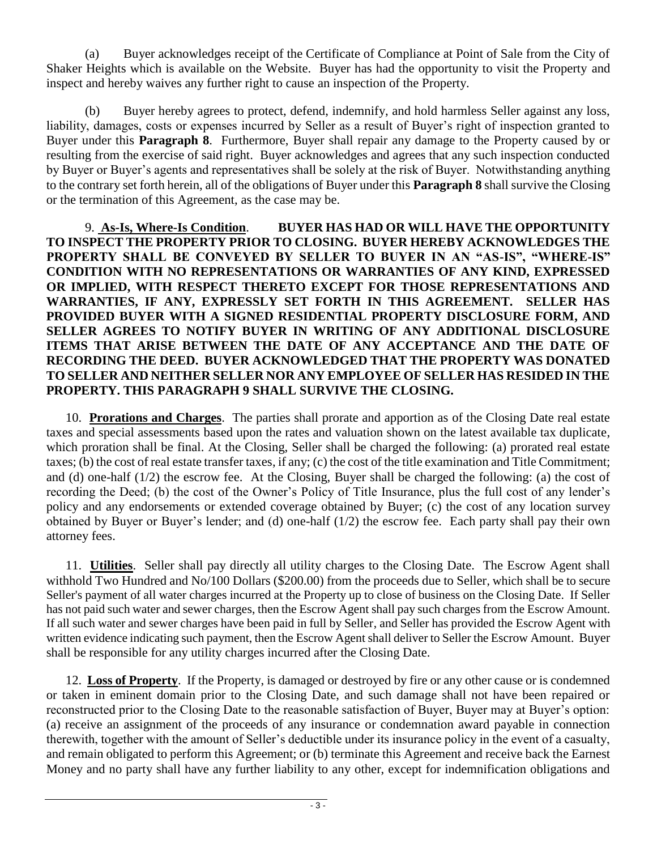(a) Buyer acknowledges receipt of the Certificate of Compliance at Point of Sale from the City of Shaker Heights which is available on the Website. Buyer has had the opportunity to visit the Property and inspect and hereby waives any further right to cause an inspection of the Property.

Buyer hereby agrees to protect, defend, indemnify, and hold harmless Seller against any loss, liability, damages, costs or expenses incurred by Seller as a result of Buyer's right of inspection granted to Buyer under this **Paragraph 8**. Furthermore, Buyer shall repair any damage to the Property caused by or resulting from the exercise of said right. Buyer acknowledges and agrees that any such inspection conducted by Buyer or Buyer's agents and representatives shall be solely at the risk of Buyer. Notwithstanding anything to the contrary set forth herein, all of the obligations of Buyer under this **Paragraph 8** shall survive the Closing or the termination of this Agreement, as the case may be.

9. **As-Is, Where-Is Condition**. **BUYER HAS HAD OR WILL HAVE THE OPPORTUNITY TO INSPECT THE PROPERTY PRIOR TO CLOSING. BUYER HEREBY ACKNOWLEDGES THE PROPERTY SHALL BE CONVEYED BY SELLER TO BUYER IN AN "AS-IS", "WHERE-IS" CONDITION WITH NO REPRESENTATIONS OR WARRANTIES OF ANY KIND, EXPRESSED OR IMPLIED, WITH RESPECT THERETO EXCEPT FOR THOSE REPRESENTATIONS AND WARRANTIES, IF ANY, EXPRESSLY SET FORTH IN THIS AGREEMENT. SELLER HAS PROVIDED BUYER WITH A SIGNED RESIDENTIAL PROPERTY DISCLOSURE FORM, AND SELLER AGREES TO NOTIFY BUYER IN WRITING OF ANY ADDITIONAL DISCLOSURE ITEMS THAT ARISE BETWEEN THE DATE OF ANY ACCEPTANCE AND THE DATE OF RECORDING THE DEED. BUYER ACKNOWLEDGED THAT THE PROPERTY WAS DONATED TO SELLER AND NEITHER SELLER NOR ANY EMPLOYEE OF SELLER HAS RESIDED IN THE PROPERTY. THIS PARAGRAPH 9 SHALL SURVIVE THE CLOSING.** 

10. **Prorations and Charges**. The parties shall prorate and apportion as of the Closing Date real estate taxes and special assessments based upon the rates and valuation shown on the latest available tax duplicate, which proration shall be final. At the Closing, Seller shall be charged the following: (a) prorated real estate taxes; (b) the cost of real estate transfer taxes, if any; (c) the cost of the title examination and Title Commitment; and (d) one-half (1/2) the escrow fee. At the Closing, Buyer shall be charged the following: (a) the cost of recording the Deed; (b) the cost of the Owner's Policy of Title Insurance, plus the full cost of any lender's policy and any endorsements or extended coverage obtained by Buyer; (c) the cost of any location survey obtained by Buyer or Buyer's lender; and (d) one-half (1/2) the escrow fee. Each party shall pay their own attorney fees.

11. **Utilities**. Seller shall pay directly all utility charges to the Closing Date. The Escrow Agent shall withhold Two Hundred and No/100 Dollars (\$200.00) from the proceeds due to Seller, which shall be to secure Seller's payment of all water charges incurred at the Property up to close of business on the Closing Date. If Seller has not paid such water and sewer charges, then the Escrow Agent shall pay such charges from the Escrow Amount. If all such water and sewer charges have been paid in full by Seller, and Seller has provided the Escrow Agent with written evidence indicating such payment, then the Escrow Agent shall deliver to Seller the Escrow Amount. Buyer shall be responsible for any utility charges incurred after the Closing Date.

12. **Loss of Property**. If the Property, is damaged or destroyed by fire or any other cause or is condemned or taken in eminent domain prior to the Closing Date, and such damage shall not have been repaired or reconstructed prior to the Closing Date to the reasonable satisfaction of Buyer, Buyer may at Buyer's option: (a) receive an assignment of the proceeds of any insurance or condemnation award payable in connection therewith, together with the amount of Seller's deductible under its insurance policy in the event of a casualty, and remain obligated to perform this Agreement; or (b) terminate this Agreement and receive back the Earnest Money and no party shall have any further liability to any other, except for indemnification obligations and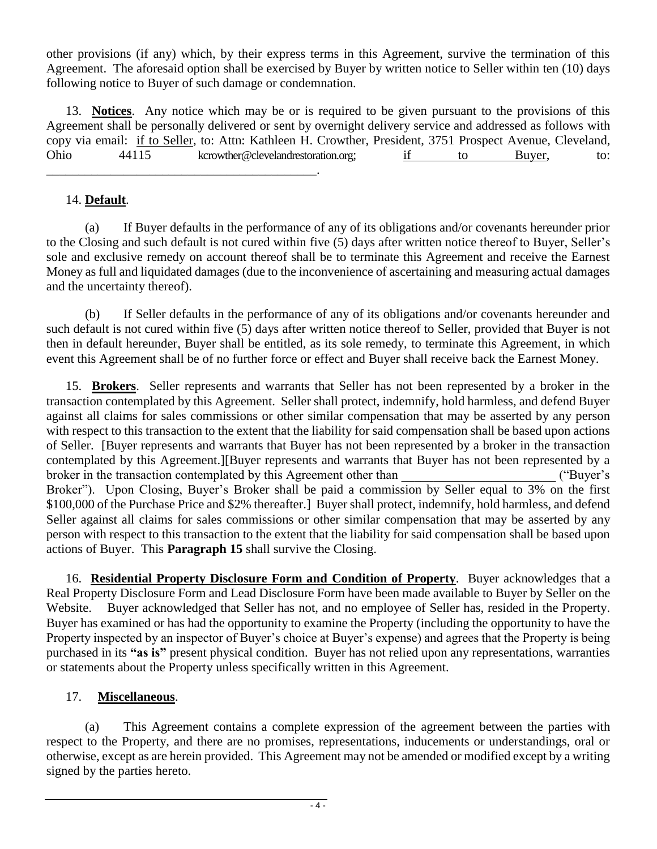other provisions (if any) which, by their express terms in this Agreement, survive the termination of this Agreement. The aforesaid option shall be exercised by Buyer by written notice to Seller within ten (10) days following notice to Buyer of such damage or condemnation.

13. **Notices**. Any notice which may be or is required to be given pursuant to the provisions of this Agreement shall be personally delivered or sent by overnight delivery service and addressed as follows with copy via email: if to Seller, to: Attn: Kathleen H. Crowther, President, 3751 Prospect Avenue, Cleveland, Ohio 44115 kcrowther@clevelandrestoration.org; if to Buyer, to:

## 14. **Default**.

\_\_\_\_\_\_\_\_\_\_\_\_\_\_\_\_\_\_\_\_\_\_\_\_\_\_\_\_\_\_\_\_\_\_\_\_\_\_\_\_\_\_.

(a) If Buyer defaults in the performance of any of its obligations and/or covenants hereunder prior to the Closing and such default is not cured within five (5) days after written notice thereof to Buyer, Seller's sole and exclusive remedy on account thereof shall be to terminate this Agreement and receive the Earnest Money as full and liquidated damages (due to the inconvenience of ascertaining and measuring actual damages and the uncertainty thereof).

(b) If Seller defaults in the performance of any of its obligations and/or covenants hereunder and such default is not cured within five (5) days after written notice thereof to Seller, provided that Buyer is not then in default hereunder, Buyer shall be entitled, as its sole remedy, to terminate this Agreement, in which event this Agreement shall be of no further force or effect and Buyer shall receive back the Earnest Money.

15. **Brokers**. Seller represents and warrants that Seller has not been represented by a broker in the transaction contemplated by this Agreement. Seller shall protect, indemnify, hold harmless, and defend Buyer against all claims for sales commissions or other similar compensation that may be asserted by any person with respect to this transaction to the extent that the liability for said compensation shall be based upon actions of Seller. [Buyer represents and warrants that Buyer has not been represented by a broker in the transaction contemplated by this Agreement.][Buyer represents and warrants that Buyer has not been represented by a broker in the transaction contemplated by this Agreement other than  $($ "Buyer's Broker"). Upon Closing, Buyer's Broker shall be paid a commission by Seller equal to 3% on the first \$100,000 of the Purchase Price and \$2% thereafter.] Buyer shall protect, indemnify, hold harmless, and defend Seller against all claims for sales commissions or other similar compensation that may be asserted by any person with respect to this transaction to the extent that the liability for said compensation shall be based upon actions of Buyer. This **Paragraph 15** shall survive the Closing.

16. **Residential Property Disclosure Form and Condition of Property**. Buyer acknowledges that a Real Property Disclosure Form and Lead Disclosure Form have been made available to Buyer by Seller on the Website. Buyer acknowledged that Seller has not, and no employee of Seller has, resided in the Property. Buyer has examined or has had the opportunity to examine the Property (including the opportunity to have the Property inspected by an inspector of Buyer's choice at Buyer's expense) and agrees that the Property is being purchased in its **"as is"** present physical condition. Buyer has not relied upon any representations, warranties or statements about the Property unless specifically written in this Agreement.

## 17. **Miscellaneous**.

(a) This Agreement contains a complete expression of the agreement between the parties with respect to the Property, and there are no promises, representations, inducements or understandings, oral or otherwise, except as are herein provided. This Agreement may not be amended or modified except by a writing signed by the parties hereto.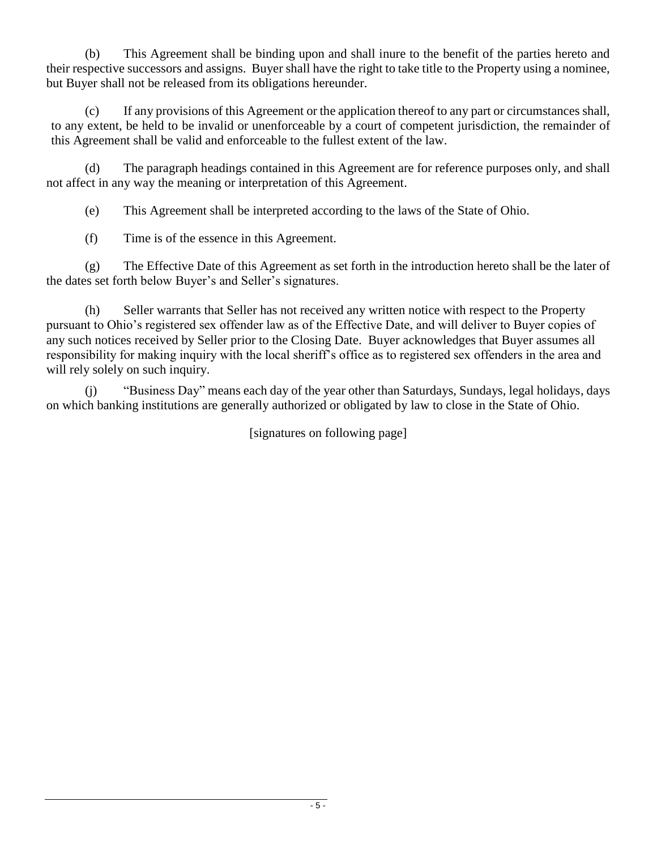(b) This Agreement shall be binding upon and shall inure to the benefit of the parties hereto and their respective successors and assigns. Buyer shall have the right to take title to the Property using a nominee, but Buyer shall not be released from its obligations hereunder.

(c) If any provisions of this Agreement or the application thereof to any part or circumstances shall, to any extent, be held to be invalid or unenforceable by a court of competent jurisdiction, the remainder of this Agreement shall be valid and enforceable to the fullest extent of the law.

(d) The paragraph headings contained in this Agreement are for reference purposes only, and shall not affect in any way the meaning or interpretation of this Agreement.

(e) This Agreement shall be interpreted according to the laws of the State of Ohio.

(f) Time is of the essence in this Agreement.

(g) The Effective Date of this Agreement as set forth in the introduction hereto shall be the later of the dates set forth below Buyer's and Seller's signatures.

(h) Seller warrants that Seller has not received any written notice with respect to the Property pursuant to Ohio's registered sex offender law as of the Effective Date, and will deliver to Buyer copies of any such notices received by Seller prior to the Closing Date. Buyer acknowledges that Buyer assumes all responsibility for making inquiry with the local sheriff's office as to registered sex offenders in the area and will rely solely on such inquiry.

(j) "Business Day" means each day of the year other than Saturdays, Sundays, legal holidays, days on which banking institutions are generally authorized or obligated by law to close in the State of Ohio.

[signatures on following page]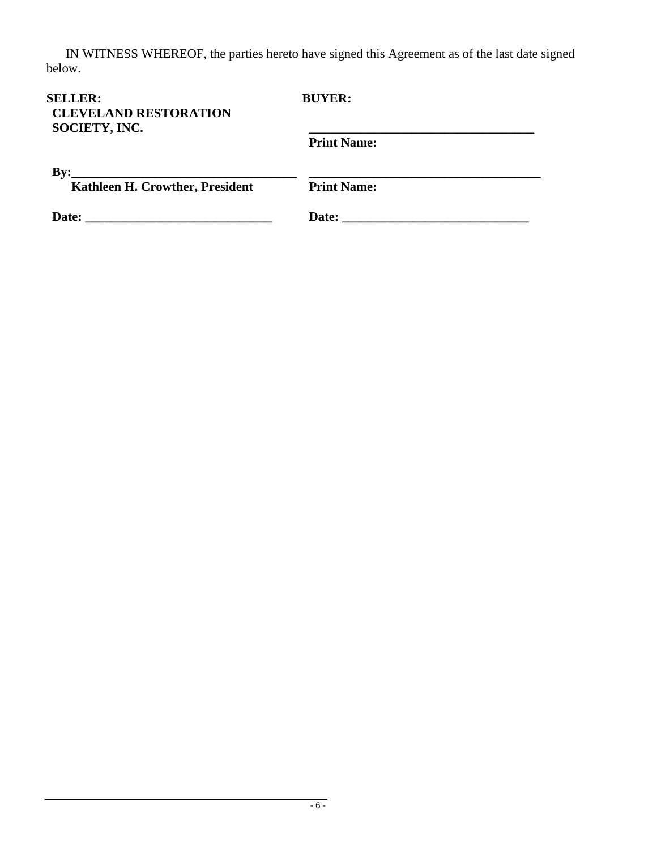IN WITNESS WHEREOF, the parties hereto have signed this Agreement as of the last date signed below.

| <b>SELLER:</b><br><b>CLEVELAND RESTORATION</b><br>SOCIETY, INC.                                                                                                                      | <b>BUYER:</b>      |
|--------------------------------------------------------------------------------------------------------------------------------------------------------------------------------------|--------------------|
|                                                                                                                                                                                      | <b>Print Name:</b> |
| $\mathbf{B}\mathbf{v}$ :<br><u> 1989 - André Maria de Arabel de la contrada de la contrada de la contrada de la contrada de la contrada de la</u><br>Kathleen H. Crowther, President | <b>Print Name:</b> |
| Date:                                                                                                                                                                                | Date:              |